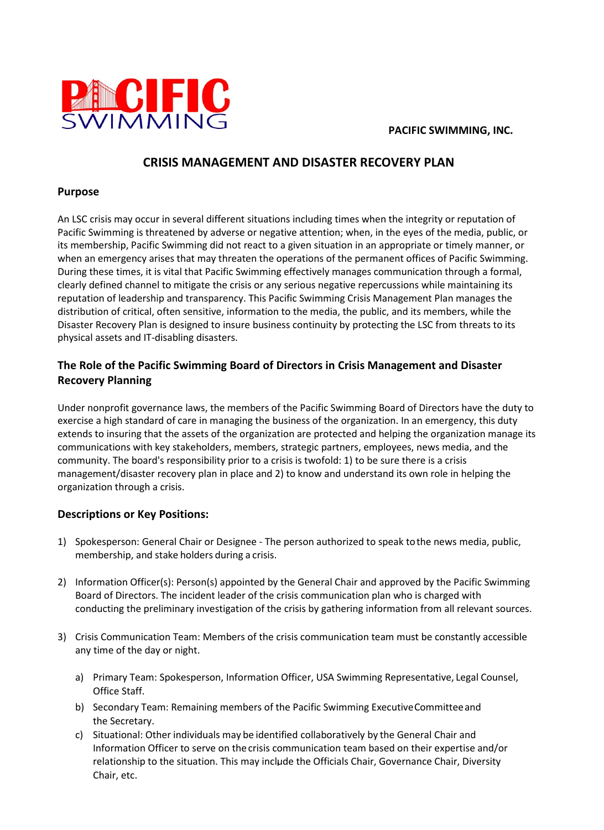

**PACIFIC SWIMMING, INC.** 

# **CRISIS MANAGEMENT AND DISASTER RECOVERY PLAN**

### **Purpose**

An LSC crisis may occur in several different situations including times when the integrity or reputation of Pacific Swimming is threatened by adverse or negative attention; when, in the eyes of the media, public, or its membership, Pacific Swimming did not react to a given situation in an appropriate or timely manner, or when an emergency arises that may threaten the operations of the permanent offices of Pacific Swimming. During these times, it is vital that Pacific Swimming effectively manages communication through a formal, clearly defined channel to mitigate the crisis or any serious negative repercussions while maintaining its reputation of leadership and transparency. This Pacific Swimming Crisis Management Plan manages the distribution of critical, often sensitive, information to the media, the public, and its members, while the Disaster Recovery Plan is designed to insure business continuity by protecting the LSC from threats to its physical assets and IT-disabling disasters.

## **The Role of the Pacific Swimming Board of Directors in Crisis Management and Disaster Recovery Planning**

Under nonprofit governance laws, the members of the Pacific Swimming Board of Directors have the duty to exercise a high standard of care in managing the business of the organization. In an emergency, this duty extends to insuring that the assets of the organization are protected and helping the organization manage its communications with key stakeholders, members, strategic partners, employees, news media, and the community. The board's responsibility prior to a crisis is twofold: 1) to be sure there is a crisis management/disaster recovery plan in place and 2) to know and understand its own role in helping the organization through a crisis.

### **Descriptions or Key Positions:**

- 1) Spokesperson: General Chair or Designee The person authorized to speak tothe news media, public, membership, and stake holders during a crisis.
- 2) Information Officer(s): Person(s) appointed by the General Chair and approved by the Pacific Swimming Board of Directors. The incident leader of the crisis communication plan who is charged with conducting the preliminary investigation of the crisis by gathering information from all relevant sources.
- 3) Crisis Communication Team: Members of the crisis communication team must be constantly accessible any time of the day or night.
	- a) Primary Team: Spokesperson, Information Officer, USA Swimming Representative, Legal Counsel, Office Staff.
	- b) Secondary Team: Remaining members of the Pacific Swimming ExecutiveCommitteeand the Secretary.
	- relationship to the situation. This may include the Officials Chair, Governance Chair, Diversity c) Situational: Other individuals may be identified collaboratively by the General Chair and Information Officer to serve on thecrisis communication team based on their expertise and/or Chair, etc.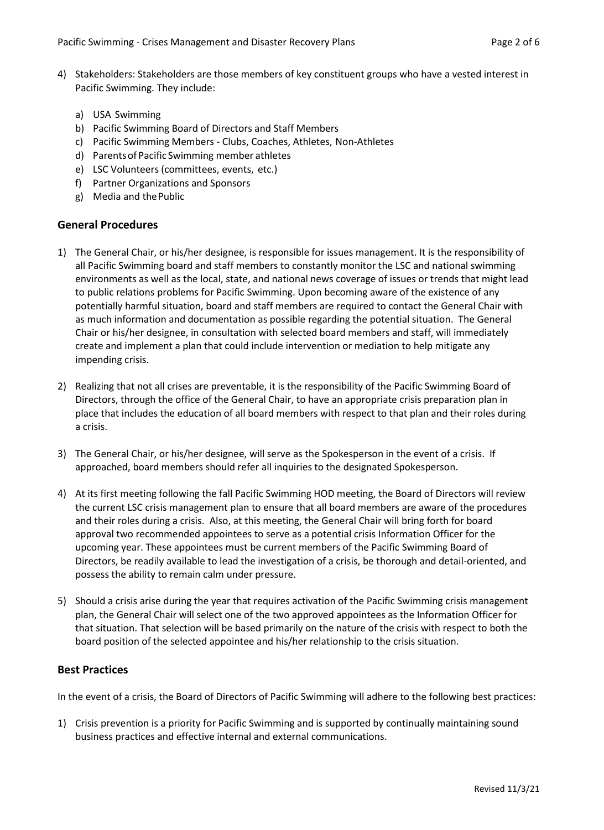- 4) Stakeholders: Stakeholders are those members of key constituent groups who have a vested interest in Pacific Swimming. They include:
	- a) USA Swimming
	- b) Pacific Swimming Board of Directors and Staff Members
	- c) Pacific Swimming Members Clubs, Coaches, Athletes, Non-Athletes
	- d) Parentsof Pacific Swimming member athletes
	- e) LSC Volunteers (committees, events, etc.)
	- f) Partner Organizations and Sponsors
	- g) Media and thePublic

### **General Procedures**

- 1) The General Chair, or his/her designee, is responsible for issues management. It is the responsibility of all Pacific Swimming board and staff members to constantly monitor the LSC and national swimming environments as well as the local, state, and national news coverage of issues or trends that might lead to public relations problems for Pacific Swimming. Upon becoming aware of the existence of any potentially harmful situation, board and staff members are required to contact the General Chair with as much information and documentation as possible regarding the potential situation. The General Chair or his/her designee, in consultation with selected board members and staff, will immediately create and implement a plan that could include intervention or mediation to help mitigate any impending crisis.
- 2) Realizing that not all crises are preventable, it is the responsibility of the Pacific Swimming Board of Directors, through the office of the General Chair, to have an appropriate crisis preparation plan in place that includes the education of all board members with respect to that plan and their roles during a crisis.
- 3) The General Chair, or his/her designee, will serve as the Spokesperson in the event of a crisis. If approached, board members should refer all inquiries to the designated Spokesperson.
- 4) At its first meeting following the fall Pacific Swimming HOD meeting, the Board of Directors will review the current LSC crisis management plan to ensure that all board members are aware of the procedures and their roles during a crisis. Also, at this meeting, the General Chair will bring forth for board approval two recommended appointees to serve as a potential crisis Information Officer for the upcoming year. These appointees must be current members of the Pacific Swimming Board of Directors, be readily available to lead the investigation of a crisis, be thorough and detail-oriented, and possess the ability to remain calm under pressure.
- 5) Should a crisis arise during the year that requires activation of the Pacific Swimming crisis management plan, the General Chair will select one of the two approved appointees as the Information Officer for that situation. That selection will be based primarily on the nature of the crisis with respect to both the board position of the selected appointee and his/her relationship to the crisis situation.

#### **Best Practices**

In the event of a crisis, the Board of Directors of Pacific Swimming will adhere to the following best practices:

1) Crisis prevention is a priority for Pacific Swimming and is supported by continually maintaining sound business practices and effective internal and external communications.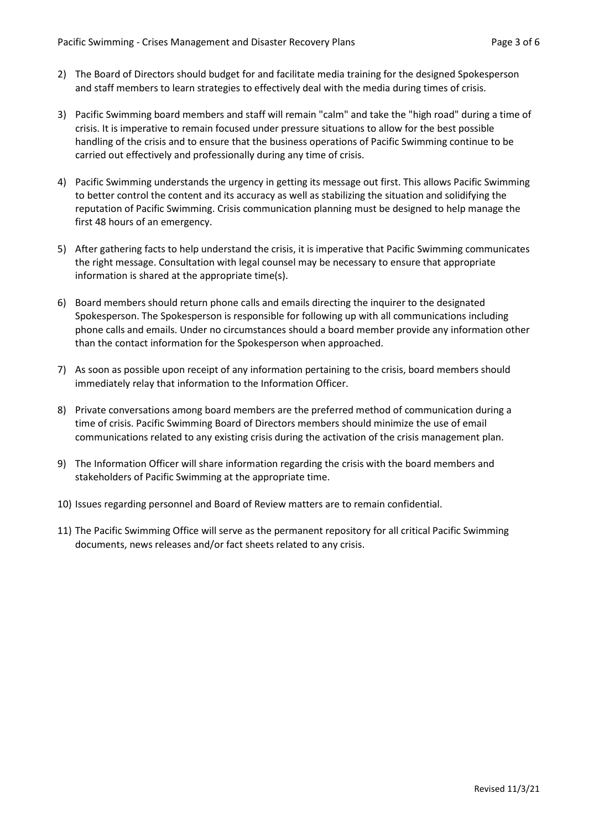- 2) The Board of Directors should budget for and facilitate media training for the designed Spokesperson and staff members to learn strategies to effectively deal with the media during times of crisis.
- 3) Pacific Swimming board members and staff will remain "calm" and take the "high road" during a time of crisis. It is imperative to remain focused under pressure situations to allow for the best possible handling of the crisis and to ensure that the business operations of Pacific Swimming continue to be carried out effectively and professionally during any time of crisis.
- 4) Pacific Swimming understands the urgency in getting its message out first. This allows Pacific Swimming to better control the content and its accuracy as well as stabilizing the situation and solidifying the reputation of Pacific Swimming. Crisis communication planning must be designed to help manage the first 48 hours of an emergency.
- 5) After gathering facts to help understand the crisis, it is imperative that Pacific Swimming communicates the right message. Consultation with legal counsel may be necessary to ensure that appropriate information is shared at the appropriate time(s).
- 6) Board members should return phone calls and emails directing the inquirer to the designated Spokesperson. The Spokesperson is responsible for following up with all communications including phone calls and emails. Under no circumstances should a board member provide any information other than the contact information for the Spokesperson when approached.
- 7) As soon as possible upon receipt of any information pertaining to the crisis, board members should immediately relay that information to the Information Officer.
- 8) Private conversations among board members are the preferred method of communication during a time of crisis. Pacific Swimming Board of Directors members should minimize the use of email communications related to any existing crisis during the activation of the crisis management plan.
- 9) The Information Officer will share information regarding the crisis with the board members and stakeholders of Pacific Swimming at the appropriate time.
- 10) Issues regarding personnel and Board of Review matters are to remain confidential.
- 11) The Pacific Swimming Office will serve as the permanent repository for all critical Pacific Swimming documents, news releases and/or fact sheets related to any crisis.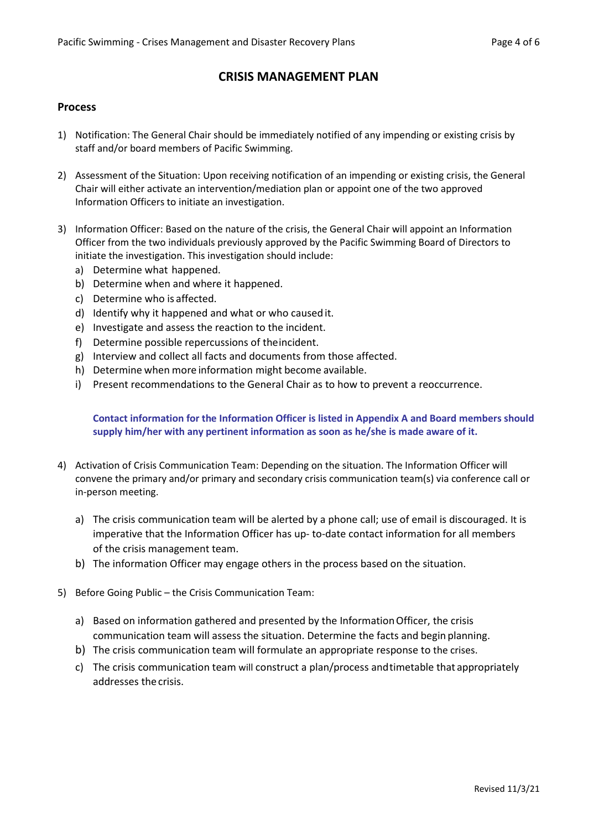## **CRISIS MANAGEMENT PLAN**

### **Process**

- 1) Notification: The General Chair should be immediately notified of any impending or existing crisis by staff and/or board members of Pacific Swimming.
- 2) Assessment of the Situation: Upon receiving notification of an impending or existing crisis, the General Chair will either activate an intervention/mediation plan or appoint one of the two approved Information Officers to initiate an investigation.
- 3) Information Officer: Based on the nature of the crisis, the General Chair will appoint an Information Officer from the two individuals previously approved by the Pacific Swimming Board of Directors to initiate the investigation. This investigation should include:
	- a) Determine what happened.
	- b) Determine when and where it happened.
	- c) Determine who is affected.
	- d) Identify why it happened and what or who caused it.
	- e) Investigate and assess the reaction to the incident.
	- f) Determine possible repercussions of theincident.
	- g) Interview and collect all facts and documents from those affected.
	- h) Determine when more information might become available.
	- i) Present recommendations to the General Chair as to how to prevent a reoccurrence.

### **Contact information for the Information Officer is listed in Appendix A and Board members should supply him/her with any pertinent information as soon as he/she is made aware of it.**

- 4) Activation of Crisis Communication Team: Depending on the situation. The Information Officer will convene the primary and/or primary and secondary crisis communication team(s) via conference call or in-person meeting.
	- a) The crisis communication team will be alerted by a phone call; use of email is discouraged. It is imperative that the Information Officer has up- to-date contact information for all members of the crisis management team.
	- b) The information Officer may engage others in the process based on the situation.
- 5) Before Going Public the Crisis Communication Team:
	- a) Based on information gathered and presented by the InformationOfficer, the crisis communication team will assess the situation. Determine the facts and begin planning.
	- b) The crisis communication team will formulate an appropriate response to the crises.
	- c) The crisis communication team will construct a plan/process andtimetable that appropriately addresses the crisis.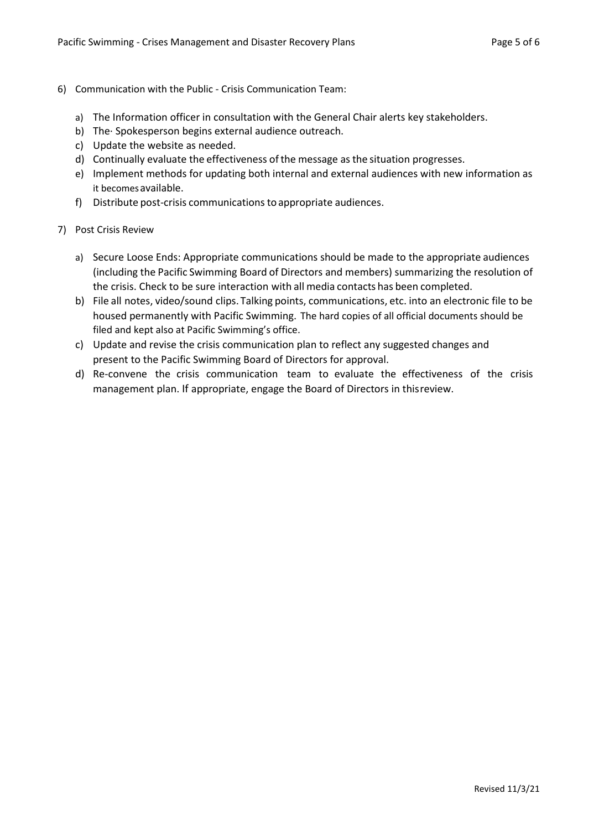- 6) Communication with the Public Crisis Communication Team:
	- a) The Information officer in consultation with the General Chair alerts key stakeholders.
	- b) The· Spokesperson begins external audience outreach.
	- c) Update the website as needed.
	- d) Continually evaluate the effectiveness ofthe message asthe situation progresses.
	- e) Implement methods for updating both internal and external audiences with new information as it becomesavailable.
	- f) Distribute post-crisis communications to appropriate audiences.
- 7) Post Crisis Review
	- a) Secure Loose Ends: Appropriate communications should be made to the appropriate audiences (including the Pacific Swimming Board of Directors and members) summarizing the resolution of the crisis. Check to be sure interaction with all media contacts has been completed.
	- b) File all notes, video/sound clips. Talking points, communications, etc. into an electronic file to be housed permanently with Pacific Swimming. The hard copies of all official documents should be filed and kept also at Pacific Swimming's office.
	- c) Update and revise the crisis communication plan to reflect any suggested changes and present to the Pacific Swimming Board of Directors for approval.
	- d) Re-convene the crisis communication team to evaluate the effectiveness of the crisis management plan. If appropriate, engage the Board of Directors in thisreview.